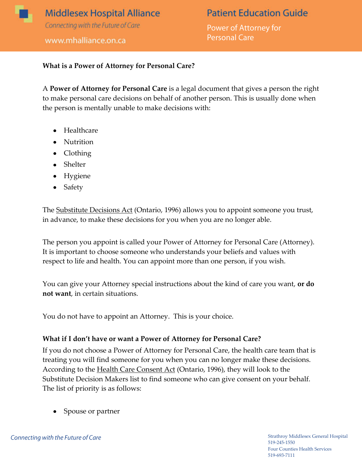

# **Patient Education Guide**

Power of Attorney for **Personal Care** 

### **What is a Power of Attorney for Personal Care?**

A **Power of Attorney for Personal Care** is a legal document that gives a person the right to make personal care decisions on behalf of another person. This is usually done when the person is mentally unable to make decisions with:

- Healthcare
- Nutrition
- Clothing
- Shelter
- Hygiene
- Safety

The **Substitute Decisions Act** (Ontario, 1996) allows you to appoint someone you trust, in advance, to make these decisions for you when you are no longer able.

The person you appoint is called your Power of Attorney for Personal Care (Attorney). It is important to choose someone who understands your beliefs and values with respect to life and health. You can appoint more than one person, if you wish.

You can give your Attorney special instructions about the kind of care you want, **or do not want**, in certain situations.

You do not have to appoint an Attorney. This is your choice.

#### **What if I don't have or want a Power of Attorney for Personal Care?**

If you do not choose a Power of Attorney for Personal Care, the health care team that is treating you will find someone for you when you can no longer make these decisions. According to the <u>Health Care Consent Act</u> (Ontario, 1996), they will look to the Substitute Decision Makers list to find someone who can give consent on your behalf. The list of priority is as follows:

• Spouse or partner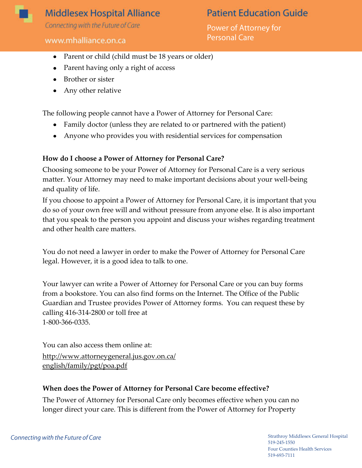

## **Middlesex Hospital Alliance**

Connecting with the Future of Care

#### www.mhalliance.on.ca

# **Patient Education Guide**

Power of Attorney for **Personal Care** 

- Parent or child (child must be 18 years or older)
- Parent having only a right of access
- Brother or sister
- Any other relative

The following people cannot have a Power of Attorney for Personal Care:

- Family doctor (unless they are related to or partnered with the patient)
- Anyone who provides you with residential services for compensation

### **How do I choose a Power of Attorney for Personal Care?**

Choosing someone to be your Power of Attorney for Personal Care is a very serious matter. Your Attorney may need to make important decisions about your well-being and quality of life.

If you choose to appoint a Power of Attorney for Personal Care, it is important that you do so of your own free will and without pressure from anyone else. It is also important that you speak to the person you appoint and discuss your wishes regarding treatment and other health care matters.

You do not need a lawyer in order to make the Power of Attorney for Personal Care legal. However, it is a good idea to talk to one.

Your lawyer can write a Power of Attorney for Personal Care or you can buy forms from a bookstore. You can also find forms on the Internet. The Office of the Public Guardian and Trustee provides Power of Attorney forms. You can request these by calling 416-314-2800 or toll free at 1-800-366-0335.

You can also access them online at: http://www.attorneygeneral.jus.gov.on.ca/ english/family/pgt/poa.pdf

## **When does the Power of Attorney for Personal Care become effective?**

The Power of Attorney for Personal Care only becomes effective when you can no longer direct your care. This is different from the Power of Attorney for Property